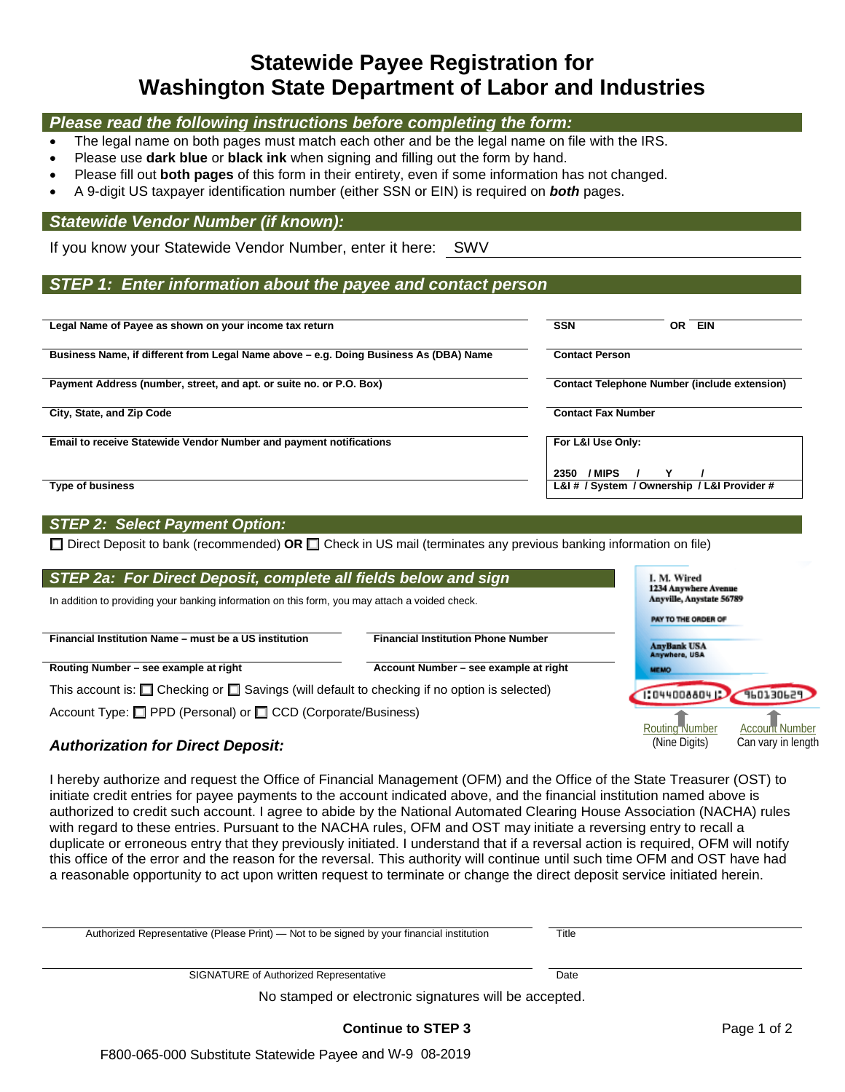# **Statewide Payee Registration for Washington State Department of Labor and Industries**

#### *Please read the following instructions before completing the form:*

- The legal name on both pages must match each other and be the legal name on file with the IRS.
- Please use **dark blue** or **black ink** when signing and filling out the form by hand.
- Please fill out **both pages** of this form in their entirety, even if some information has not changed.
- A 9-digit US taxpayer identification number (either SSN or EIN) is required on *both* pages.

#### *Statewide Vendor Number (if known):*

If you know your Statewide Vendor Number, enter it here: SWV

#### *STEP 1: Enter information about the payee and contact person*

| Legal Name of Payee as shown on your income tax return                                | <b>SSN</b><br><b>EIN</b><br>ΟR                                |
|---------------------------------------------------------------------------------------|---------------------------------------------------------------|
| Business Name, if different from Legal Name above - e.g. Doing Business As (DBA) Name | <b>Contact Person</b>                                         |
| Payment Address (number, street, and apt. or suite no. or P.O. Box)                   | <b>Contact Telephone Number (include extension)</b>           |
| City, State, and Zip Code                                                             | <b>Contact Fax Number</b>                                     |
| Email to receive Statewide Vendor Number and payment notifications                    | For L&I Use Only:                                             |
| <b>Type of business</b>                                                               | / MIPS<br>2350<br>L&I # / System / Ownership / L&I Provider # |

#### *STEP 2: Select Payment Option:*

□ Direct Deposit to bank (recommended) OR □ Check in US mail (terminates any previous banking information on file)

| STEP 2a: For Direct Deposit, complete all fields below and sign                                        | I. M. Wired<br>1234 Anywhere Avenue       |                                       |
|--------------------------------------------------------------------------------------------------------|-------------------------------------------|---------------------------------------|
| In addition to providing your banking information on this form, you may attach a voided check.         | Anyville, Anystate 56789                  |                                       |
|                                                                                                        |                                           | PAY TO THE ORDER OF                   |
| Financial Institution Name - must be a US institution                                                  | <b>Financial Institution Phone Number</b> | <b>AnyBank USA</b><br>Anywhere, USA   |
| Routing Number - see example at right                                                                  | Account Number - see example at right     | <b>MEMO</b>                           |
| This account is: $\Box$ Checking or $\Box$ Savings (will default to checking if no option is selected) | 160130629<br>1:04400880412                |                                       |
| Account Type: □ PPD (Personal) or □ CCD (Corporate/Business)                                           |                                           | ' Number<br>Routing Number<br>Account |

#### *Authorization for Direct Deposit:*

I hereby authorize and request the Office of Financial Management (OFM) and the Office of the State Treasurer (OST) to initiate credit entries for payee payments to the account indicated above, and the financial institution named above is authorized to credit such account. I agree to abide by the National Automated Clearing House Association (NACHA) rules with regard to these entries. Pursuant to the NACHA rules, OFM and OST may initiate a reversing entry to recall a duplicate or erroneous entry that they previously initiated. I understand that if a reversal action is required, OFM will notify this office of the error and the reason for the reversal. This authority will continue until such time OFM and OST have had a reasonable opportunity to act upon written request to terminate or change the direct deposit service initiated herein.

| Authorized Representative (Please Print) — Not to be signed by your financial institution | Title |  |
|-------------------------------------------------------------------------------------------|-------|--|
|                                                                                           |       |  |
| SIGNATURE of Authorized Representative                                                    | Date  |  |
| No stamped or electronic signatures will be accepted.                                     |       |  |

# **Continue to STEP 3**

Can vary in length

(Nine Digits)

F800-065-000 Substitute Statewide Payee and W-9 08-2019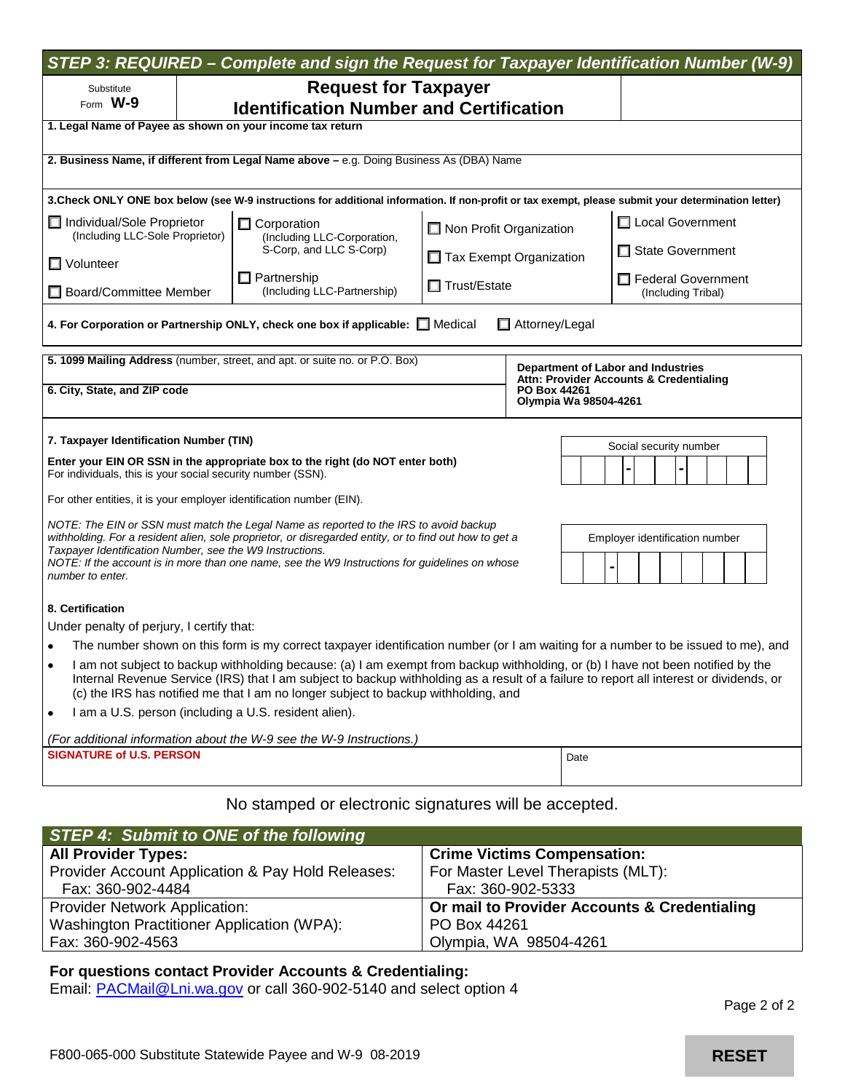| STEP 3: REQUIRED - Complete and sign the Request for Taxpayer Identification Number (W-9)                                                                                                                                                                                                                                                                        |  |                                                                                                                                                     |                                                           |                  |      |                                          |
|------------------------------------------------------------------------------------------------------------------------------------------------------------------------------------------------------------------------------------------------------------------------------------------------------------------------------------------------------------------|--|-----------------------------------------------------------------------------------------------------------------------------------------------------|-----------------------------------------------------------|------------------|------|------------------------------------------|
| Substitute                                                                                                                                                                                                                                                                                                                                                       |  | <b>Request for Taxpayer</b>                                                                                                                         |                                                           |                  |      |                                          |
| Form $W-9$                                                                                                                                                                                                                                                                                                                                                       |  | <b>Identification Number and Certification</b>                                                                                                      |                                                           |                  |      |                                          |
| 1. Legal Name of Payee as shown on your income tax return                                                                                                                                                                                                                                                                                                        |  |                                                                                                                                                     |                                                           |                  |      |                                          |
|                                                                                                                                                                                                                                                                                                                                                                  |  | 2. Business Name, if different from Legal Name above - e.g. Doing Business As (DBA) Name                                                            |                                                           |                  |      |                                          |
|                                                                                                                                                                                                                                                                                                                                                                  |  |                                                                                                                                                     |                                                           |                  |      |                                          |
|                                                                                                                                                                                                                                                                                                                                                                  |  | 3. Check ONLY ONE box below (see W-9 instructions for additional information. If non-profit or tax exempt, please submit your determination letter) |                                                           |                  |      |                                          |
| Individual/Sole Proprietor<br>(Including LLC-Sole Proprietor)                                                                                                                                                                                                                                                                                                    |  | $\Box$ Corporation<br>(Including LLC-Corporation,                                                                                                   | $\Box$ Non Profit Organization<br>Tax Exempt Organization |                  |      | □ Local Government                       |
| $\Box$ Volunteer                                                                                                                                                                                                                                                                                                                                                 |  | S-Corp, and LLC S-Corp)                                                                                                                             |                                                           |                  |      | □ State Government                       |
| □ Board/Committee Member                                                                                                                                                                                                                                                                                                                                         |  | $\Box$ Partnership<br>(Including LLC-Partnership)                                                                                                   | □ Trust/Estate                                            |                  |      | Federal Government<br>(Including Tribal) |
|                                                                                                                                                                                                                                                                                                                                                                  |  | 4. For Corporation or Partnership ONLY, check one box if applicable: Medical                                                                        |                                                           | □ Attorney/Legal |      |                                          |
|                                                                                                                                                                                                                                                                                                                                                                  |  | 5. 1099 Mailing Address (number, street, and apt. or suite no. or P.O. Box)                                                                         |                                                           |                  |      |                                          |
| Department of Labor and Industries<br>Attn: Provider Accounts & Credentialing                                                                                                                                                                                                                                                                                    |  |                                                                                                                                                     |                                                           |                  |      |                                          |
| 6. City, State, and ZIP code<br>PO Box 44261<br>Olympia Wa 98504-4261                                                                                                                                                                                                                                                                                            |  |                                                                                                                                                     |                                                           |                  |      |                                          |
| 7. Taxpayer Identification Number (TIN)<br>Social security number                                                                                                                                                                                                                                                                                                |  |                                                                                                                                                     |                                                           |                  |      |                                          |
| Enter your EIN OR SSN in the appropriate box to the right (do NOT enter both)<br>For individuals, this is your social security number (SSN).                                                                                                                                                                                                                     |  |                                                                                                                                                     |                                                           |                  |      |                                          |
| For other entities, it is your employer identification number (EIN).                                                                                                                                                                                                                                                                                             |  |                                                                                                                                                     |                                                           |                  |      |                                          |
| NOTE: The EIN or SSN must match the Legal Name as reported to the IRS to avoid backup<br>withholding. For a resident alien, sole proprietor, or disregarded entity, or to find out how to get a                                                                                                                                                                  |  |                                                                                                                                                     |                                                           |                  |      |                                          |
| Taxpayer Identification Number, see the W9 Instructions.                                                                                                                                                                                                                                                                                                         |  |                                                                                                                                                     |                                                           |                  |      | Employer identification number           |
| NOTE: If the account is in more than one name, see the W9 Instructions for guidelines on whose<br>number to enter.                                                                                                                                                                                                                                               |  |                                                                                                                                                     |                                                           |                  |      |                                          |
| 8. Certification                                                                                                                                                                                                                                                                                                                                                 |  |                                                                                                                                                     |                                                           |                  |      |                                          |
| Under penalty of perjury, I certify that:                                                                                                                                                                                                                                                                                                                        |  |                                                                                                                                                     |                                                           |                  |      |                                          |
| The number shown on this form is my correct taxpayer identification number (or I am waiting for a number to be issued to me), and                                                                                                                                                                                                                                |  |                                                                                                                                                     |                                                           |                  |      |                                          |
| I am not subject to backup withholding because: (a) I am exempt from backup withholding, or (b) I have not been notified by the<br>Internal Revenue Service (IRS) that I am subject to backup withholding as a result of a failure to report all interest or dividends, or<br>(c) the IRS has notified me that I am no longer subject to backup withholding, and |  |                                                                                                                                                     |                                                           |                  |      |                                          |
| I am a U.S. person (including a U.S. resident alien).<br>٠                                                                                                                                                                                                                                                                                                       |  |                                                                                                                                                     |                                                           |                  |      |                                          |
| (For additional information about the W-9 see the W-9 Instructions.)                                                                                                                                                                                                                                                                                             |  |                                                                                                                                                     |                                                           |                  |      |                                          |
| <b>SIGNATURE of U.S. PERSON</b>                                                                                                                                                                                                                                                                                                                                  |  |                                                                                                                                                     |                                                           |                  | Date |                                          |
|                                                                                                                                                                                                                                                                                                                                                                  |  |                                                                                                                                                     |                                                           |                  |      |                                          |
| No stamped or electronic signatures will be accepted.                                                                                                                                                                                                                                                                                                            |  |                                                                                                                                                     |                                                           |                  |      |                                          |

#### *STEP 4: Submit to ONE of the following* **Crime Victims Compensation:** Provider Account Application & Pay Hold Releases: Fax: 360-902-4484 For Master Level Therapists (MLT): Fax: 360-902-5333 Provider Network Application: Washington Practitioner Application (WPA): **Or mail to Provider Accounts & Credentialing** PO Box 44261

Olympia, WA 98504-4261

### **For questions contact Provider Accounts & Credentialing:**

Email: [PACMail@Lni.wa.gov](mailto:PACMail@Lni.wa.gov) or call 360-902-5140 and select option 4

Page 2 of 2

Fax: 360-902-4563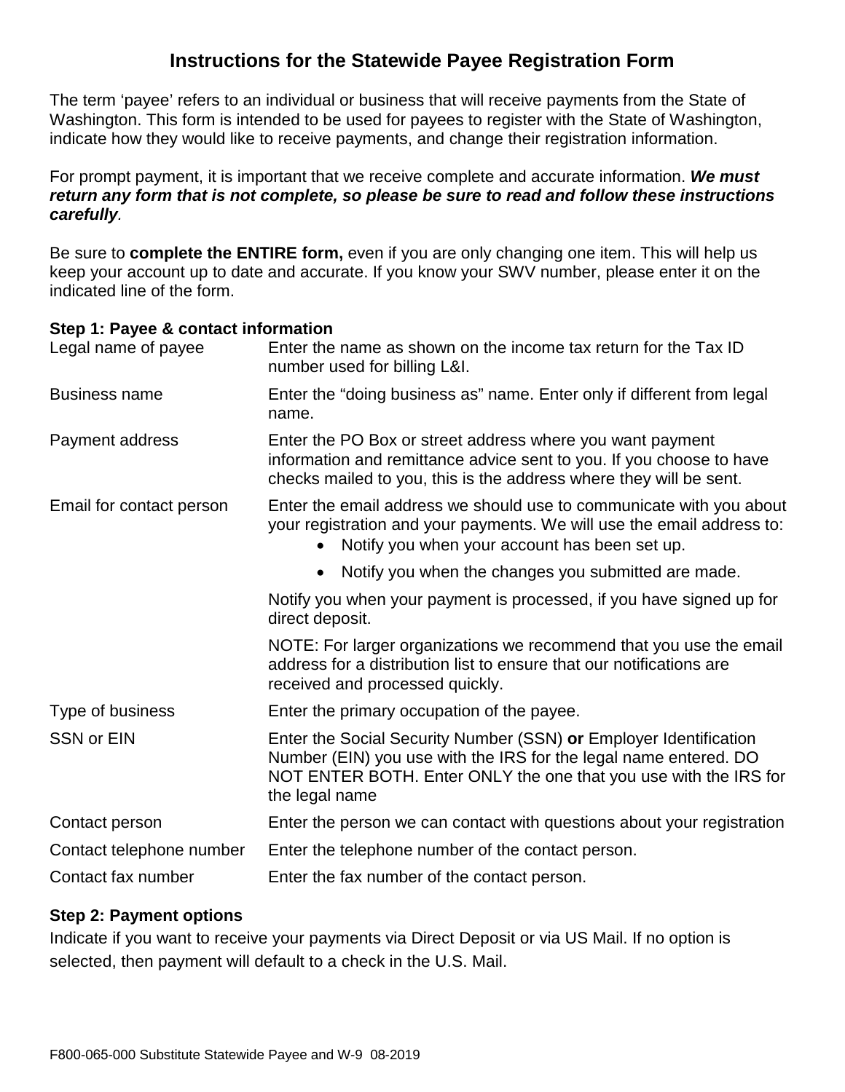# **Instructions for the Statewide Payee Registration Form**

The term 'payee' refers to an individual or business that will receive payments from the State of Washington. This form is intended to be used for payees to register with the State of Washington, indicate how they would like to receive payments, and change their registration information.

For prompt payment, it is important that we receive complete and accurate information. *We must return any form that is not complete, so please be sure to read and follow these instructions carefully.* 

Be sure to **complete the ENTIRE form,** even if you are only changing one item. This will help us keep your account up to date and accurate. If you know your SWV number, please enter it on the indicated line of the form.

# **Step 1: Payee & contact information**

| Legal name of payee      | Enter the name as shown on the income tax return for the Tax ID<br>number used for billing L&I.                                                                                                                             |
|--------------------------|-----------------------------------------------------------------------------------------------------------------------------------------------------------------------------------------------------------------------------|
| <b>Business name</b>     | Enter the "doing business as" name. Enter only if different from legal<br>name.                                                                                                                                             |
| Payment address          | Enter the PO Box or street address where you want payment<br>information and remittance advice sent to you. If you choose to have<br>checks mailed to you, this is the address where they will be sent.                     |
| Email for contact person | Enter the email address we should use to communicate with you about<br>your registration and your payments. We will use the email address to:<br>Notify you when your account has been set up.<br>$\bullet$                 |
|                          | Notify you when the changes you submitted are made.<br>$\bullet$                                                                                                                                                            |
|                          | Notify you when your payment is processed, if you have signed up for<br>direct deposit.                                                                                                                                     |
|                          | NOTE: For larger organizations we recommend that you use the email<br>address for a distribution list to ensure that our notifications are<br>received and processed quickly.                                               |
| Type of business         | Enter the primary occupation of the payee.                                                                                                                                                                                  |
| <b>SSN or EIN</b>        | Enter the Social Security Number (SSN) or Employer Identification<br>Number (EIN) you use with the IRS for the legal name entered. DO<br>NOT ENTER BOTH. Enter ONLY the one that you use with the IRS for<br>the legal name |
| Contact person           | Enter the person we can contact with questions about your registration                                                                                                                                                      |
| Contact telephone number | Enter the telephone number of the contact person.                                                                                                                                                                           |
| Contact fax number       | Enter the fax number of the contact person.                                                                                                                                                                                 |

# **Step 2: Payment options**

Indicate if you want to receive your payments via Direct Deposit or via US Mail. If no option is selected, then payment will default to a check in the U.S. Mail.